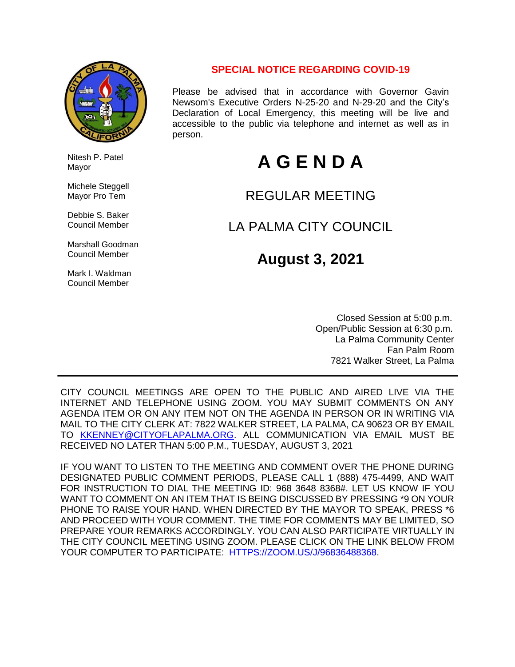

 Nitesh P. Patel Mayor

 Michele Steggell Mayor Pro Tem

 Debbie S. Baker Council Member

 Marshall Goodman Council Member

 Mark I. Waldman Council Member

### **SPECIAL NOTICE REGARDING COVID-19**

Please be advised that in accordance with Governor Gavin Newsom's Executive Orders N-25-20 and N-29-20 and the City's Declaration of Local Emergency, this meeting will be live and accessible to the public via telephone and internet as well as in person.

# **A G E N D A**

## REGULAR MEETING

## LA PALMA CITY COUNCIL

## **August 3, 2021**

 Closed Session at 5:00 p.m. Open/Public Session at 6:30 p.m. La Palma Community Center Fan Palm Room 7821 Walker Street, La Palma

CITY COUNCIL MEETINGS ARE OPEN TO THE PUBLIC AND AIRED LIVE VIA THE INTERNET AND TELEPHONE USING ZOOM. YOU MAY SUBMIT COMMENTS ON ANY AGENDA ITEM OR ON ANY ITEM NOT ON THE AGENDA IN PERSON OR IN WRITING VIA MAIL TO THE CITY CLERK AT: 7822 WALKER STREET, LA PALMA, CA 90623 OR BY EMAIL TO [KKENNEY@CITYOFLAPALMA.ORG.](mailto:KKENNEY@CITYOFLAPALMA.ORG) ALL COMMUNICATION VIA EMAIL MUST BE RECEIVED NO LATER THAN 5:00 P.M., TUESDAY, AUGUST 3, 2021

IF YOU WANT TO LISTEN TO THE MEETING AND COMMENT OVER THE PHONE DURING DESIGNATED PUBLIC COMMENT PERIODS, PLEASE CALL 1 (888) 475-4499, AND WAIT FOR INSTRUCTION TO DIAL THE MEETING ID: 968 3648 8368#. LET US KNOW IF YOU WANT TO COMMENT ON AN ITEM THAT IS BEING DISCUSSED BY PRESSING \*9 ON YOUR PHONE TO RAISE YOUR HAND. WHEN DIRECTED BY THE MAYOR TO SPEAK, PRESS \*6 AND PROCEED WITH YOUR COMMENT. THE TIME FOR COMMENTS MAY BE LIMITED, SO PREPARE YOUR REMARKS ACCORDINGLY. YOU CAN ALSO PARTICIPATE VIRTUALLY IN THE CITY COUNCIL MEETING USING ZOOM. PLEASE CLICK ON THE LINK BELOW FROM YOUR COMPUTER TO PARTICIPATE: [HTTPS://ZOOM.US/J/96836488368.](https://zoom.us/j/96836488368)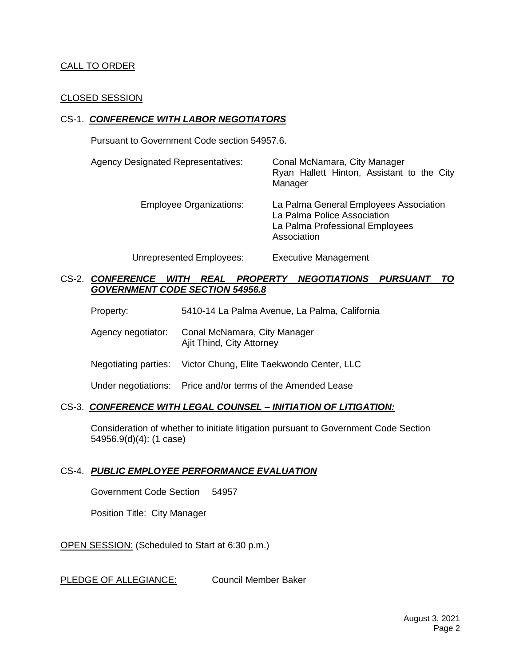#### CALL TO ORDER

#### CLOSED SESSION

#### CS-1. *CONFERENCE WITH LABOR NEGOTIATORS*

Pursuant to Government Code section 54957.6.

| <b>Agency Designated Representatives:</b> | Conal McNamara, City Manager<br>Ryan Hallett Hinton, Assistant to the City<br>Manager                                   |
|-------------------------------------------|-------------------------------------------------------------------------------------------------------------------------|
| <b>Employee Organizations:</b>            | La Palma General Employees Association<br>La Palma Police Association<br>La Palma Professional Employees<br>Association |
| Unrepresented Employees:                  | <b>Executive Management</b>                                                                                             |

CS-2. *CONFERENCE WITH REAL PROPERTY NEGOTIATIONS PURSUANT TO* 

Property: 5410-14 La Palma Avenue, La Palma, California

Agency negotiator: Conal McNamara, City Manager Ajit Thind, City Attorney

*GOVERNMENT CODE SECTION 54956.8*

Negotiating parties: Victor Chung, Elite Taekwondo Center, LLC

Under negotiations: Price and/or terms of the Amended Lease

#### CS-3. *CONFERENCE WITH LEGAL COUNSEL – INITIATION OF LITIGATION:*

Consideration of whether to initiate litigation pursuant to Government Code Section 54956.9(d)(4): (1 case)

#### CS-4. *PUBLIC EMPLOYEE PERFORMANCE EVALUATION*

Government Code Section 54957

Position Title: City Manager

OPEN SESSION: (Scheduled to Start at 6:30 p.m.)

PLEDGE OF ALLEGIANCE: Council Member Baker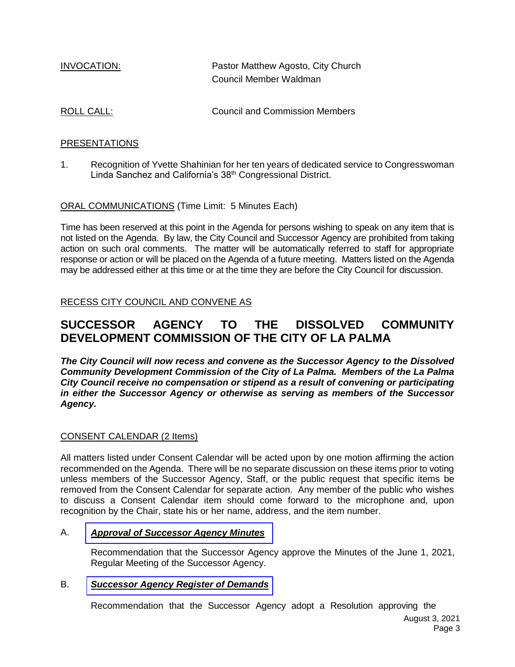| INVOCATION: | Pastor Matthew Agosto, City Church |
|-------------|------------------------------------|
|             | Council Member Waldman             |
|             |                                    |

ROLL CALL: COUNCIL CALL:

#### PRESENTATIONS

1. Recognition of Yvette Shahinian for her ten years of dedicated service to Congresswoman Linda Sanchez and California's 38th Congressional District.

ORAL COMMUNICATIONS (Time Limit: 5 Minutes Each)

Time has been reserved at this point in the Agenda for persons wishing to speak on any item that is not listed on the Agenda. By law, the City Council and Successor Agency are prohibited from taking action on such oral comments. The matter will be automatically referred to staff for appropriate response or action or will be placed on the Agenda of a future meeting. Matters listed on the Agenda may be addressed either at this time or at the time they are before the City Council for discussion.

RECESS CITY COUNCIL AND CONVENE AS

## **SUCCESSOR AGENCY TO THE DISSOLVED COMMUNITY DEVELOPMENT COMMISSION OF THE CITY OF LA PALMA**

*The City Council will now recess and convene as the Successor Agency to the Dissolved Community Development Commission of the City of La Palma. Members of the La Palma City Council receive no compensation or stipend as a result of convening or participating in either the Successor Agency or otherwise as serving as members of the Successor Agency.*

#### CONSENT CALENDAR (2 Items)

All matters listed under Consent Calendar will be acted upon by one motion affirming the action recommended on the Agenda. There will be no separate discussion on these items prior to voting unless members of the Successor Agency, Staff, or the public request that specific items be removed from the Consent Calendar for separate action. Any member of the public who wishes to discuss a Consent Calendar item should come forward to the microphone and, upon recognition by the Chair, state his or her name, address, and the item number.

#### A. *Approval of [Successor](https://www.cityoflapalma.org/DocumentCenter/View/11047/Item-A_Successor-Agency-Minutes) Agency Minutes*

Recommendation that the Successor Agency approve the Minutes of the June 1, 2021, Regular Meeting of the Successor Agency.

#### B. *[Successor Agency Register of Demands](https://www.cityoflapalma.org/DocumentCenter/View/11048/Item-B_SA-Warrants)*

Recommendation that the Successor Agency adopt a Resolution approving the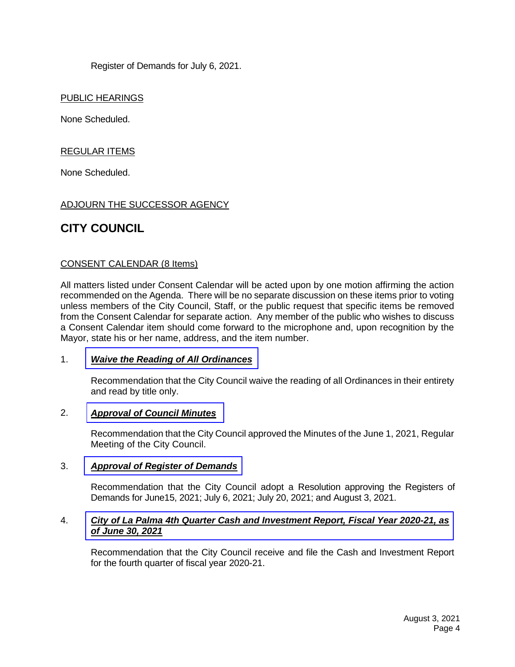Register of Demands for July 6, 2021.

PUBLIC HEARINGS

None Scheduled.

REGULAR ITEMS

None Scheduled.

#### ADJOURN THE SUCCESSOR AGENCY

## **CITY COUNCIL**

#### CONSENT CALENDAR (8 Items)

All matters listed under Consent Calendar will be acted upon by one motion affirming the action recommended on the Agenda. There will be no separate discussion on these items prior to voting unless members of the City Council, Staff, or the public request that specific items be removed from the Consent Calendar for separate action. Any member of the public who wishes to discuss a Consent Calendar item should come forward to the microphone and, upon recognition by the Mayor, state his or her name, address, and the item number.

#### 1. *[Waive the Reading of All Ordinances](https://www.cityoflapalma.org/DocumentCenter/View/11049/Item-1_Waive-Reading-of-Ordinances)*

Recommendation that the City Council waive the reading of all Ordinances in their entirety and read by title only.

#### 2. *[Approval of Council Minutes](https://www.cityoflapalma.org/DocumentCenter/View/11050/Item-2_City-Council-Minutes)*

Recommendation that the City Council approved the Minutes of the June 1, 2021, Regular Meeting of the City Council.

#### 3. *[Approval of Register of Demands](https://www.cityoflapalma.org/DocumentCenter/View/11051/Item-3_CC-Warrants)*

Recommendation that the City Council adopt a Resolution approving the Registers of Demands for June15, 2021; July 6, 2021; July 20, 2021; and August 3, 2021.

#### 4. *City of La Palma 4th [Quarter Cash and Investment Report,](https://www.cityoflapalma.org/DocumentCenter/View/11052/Item-4_City-Cash-and-Investment-Report-4th-Qtr) Fiscal Year 2020-21, as of June 30, 2021*

Recommendation that the City Council receive and file the Cash and Investment Report for the fourth quarter of fiscal year 2020-21.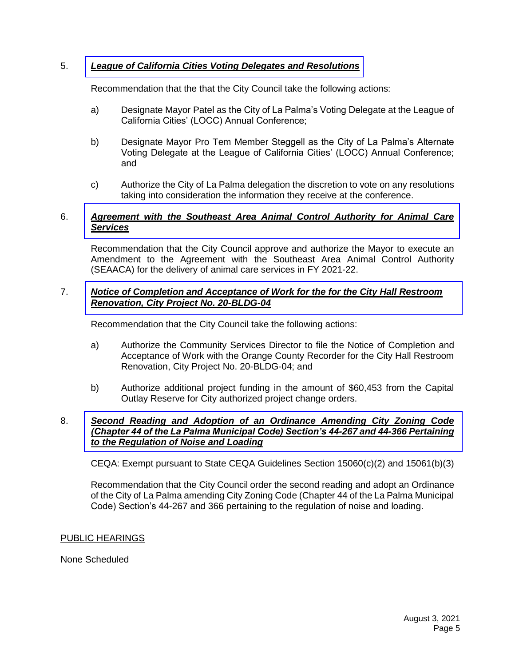#### 5. *[League of California Cities Voting Delegates and Resolutions](https://www.cityoflapalma.org/DocumentCenter/View/11043/Item-5_LOCC-Voting-Delegation)*

Recommendation that the that the City Council take the following actions:

- a) Designate Mayor Patel as the City of La Palma's Voting Delegate at the League of California Cities' (LOCC) Annual Conference;
- b) Designate Mayor Pro Tem Member Steggell as the City of La Palma's Alternate Voting Delegate at the League of California Cities' (LOCC) Annual Conference; and
- c) Authorize the City of La Palma delegation the discretion to vote on any resolutions taking into consideration the information they receive at the conference.

#### 6. *[Agreement with the Southeast Area Animal Control Authority for Animal Care](https://www.cityoflapalma.org/DocumentCenter/View/11044/Item-6_2021-22-SEAACA-Agreement)  Services*

Recommendation that the City Council approve and authorize the Mayor to execute an Amendment to the Agreement with the Southeast Area Animal Control Authority (SEAACA) for the delivery of animal care services in FY 2021-22.

#### 7. *[Notice of Completion and Acceptance of Work for the for the City Hall Restroom](https://www.cityoflapalma.org/DocumentCenter/View/11045/Item-7_NOC-CH-Restroom-Renovation)  Renovation, City Project No. 20-BLDG-04*

Recommendation that the City Council take the following actions:

- a) Authorize the Community Services Director to file the Notice of Completion and Acceptance of Work with the Orange County Recorder for the City Hall Restroom Renovation, City Project No. 20-BLDG-04; and
- b) Authorize additional project funding in the amount of \$60,453 from the Capital Outlay Reserve for City authorized project change orders.

#### 8. *Second Reading and Adoption of an Ordinance Amending City Zoning Code [\(Chapter 44 of the La Palma Municipal Code\) Section's 44-267 and 44-366 Pertaining](https://www.cityoflapalma.org/DocumentCenter/View/11046/Item-8_Noise_and_Loading_Ordinance)  to the Regulation of Noise and Loading*

CEQA: Exempt pursuant to State CEQA Guidelines Section 15060(c)(2) and 15061(b)(3)

Recommendation that the City Council order the second reading and adopt an Ordinance of the City of La Palma amending City Zoning Code (Chapter 44 of the La Palma Municipal Code) Section's 44-267 and 366 pertaining to the regulation of noise and loading.

#### PUBLIC HEARINGS

None Scheduled